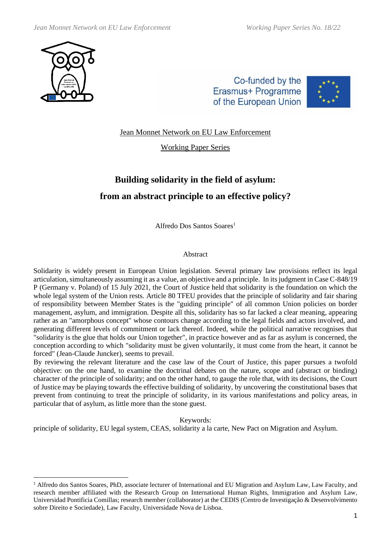

Co-funded by the Erasmus+ Programme of the European Union



Jean Monnet Network on EU Law Enforcement

Working Paper Series

# **Building solidarity in the field of asylum: from an abstract principle to an effective policy?**

Alfredo Dos Santos Soares<sup>1</sup>

# Abstract

Solidarity is widely present in European Union legislation. Several primary law provisions reflect its legal articulation, simultaneously assuming it as a value, an objective and a principle. In its judgment in Case C-848/19 P (Germany v. Poland) of 15 July 2021, the Court of Justice held that solidarity is the foundation on which the whole legal system of the Union rests. Article 80 TFEU provides that the principle of solidarity and fair sharing of responsibility between Member States is the "guiding principle" of all common Union policies on border management, asylum, and immigration. Despite all this, solidarity has so far lacked a clear meaning, appearing rather as an "amorphous concept" whose contours change according to the legal fields and actors involved, and generating different levels of commitment or lack thereof. Indeed, while the political narrative recognises that "solidarity is the glue that holds our Union together", in practice however and as far as asylum is concerned, the conception according to which "solidarity must be given voluntarily, it must come from the heart, it cannot be forced" (Jean-Claude Juncker), seems to prevail.

By reviewing the relevant literature and the case law of the Court of Justice, this paper pursues a twofold objective: on the one hand, to examine the doctrinal debates on the nature, scope and (abstract or binding) character of the principle of solidarity; and on the other hand, to gauge the role that, with its decisions, the Court of Justice may be playing towards the effective building of solidarity, by uncovering the constitutional bases that prevent from continuing to treat the principle of solidarity, in its various manifestations and policy areas, in particular that of asylum, as little more than the stone guest.

Keywords:

principle of solidarity, EU legal system, CEAS, solidarity a la carte, New Pact on Migration and Asylum.

 $1$  Alfredo dos Santos Soares, PhD, associate lecturer of International and EU Migration and Asylum Law, Law Faculty, and research member affiliated with the Research Group on International Human Rights, Immigration and Asylum Law, Universidad Pontificia Comillas; research member (collaborator) at the CEDIS (Centro de Investigação & Desenvolvimento sobre Direito e Sociedade), Law Faculty, Universidade Nova de Lisboa.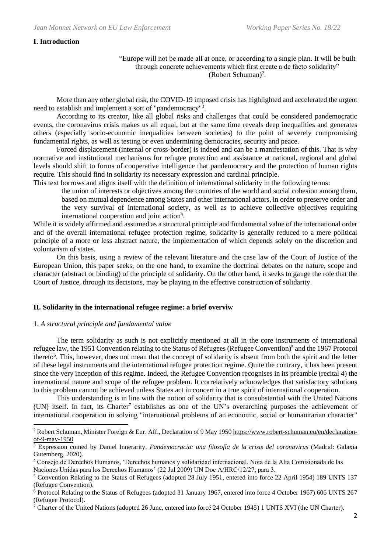#### **I. Introduction**

"Europe will not be made all at once, or according to a single plan. It will be built through concrete achievements which first create a de facto solidarity" (Robert Schuman)<sup>2</sup> .

More than any other global risk, the COVID-19 imposed crisis has highlighted and accelerated the urgent need to establish and implement a sort of "pandemocracy"<sup>3</sup>.

According to its creator, like all global risks and challenges that could be considered pandemocratic events, the coronavirus crisis makes us all equal, but at the same time reveals deep inequalities and generates others (especially socio-economic inequalities between societies) to the point of severely compromising fundamental rights, as well as testing or even undermining democracies, security and peace.

Forced displacement (internal or cross-border) is indeed and can be a manifestation of this. That is why normative and institutional mechanisms for refugee protection and assistance at national, regional and global levels should shift to forms of cooperative intelligence that pandemocracy and the protection of human rights require. This should find in solidarity its necessary expression and cardinal principle.

This text borrows and aligns itself with the definition of international solidarity in the following terms:

the union of interests or objectives among the countries of the world and social cohesion among them, based on mutual dependence among States and other international actors, in order to preserve order and the very survival of international society, as well as to achieve collective objectives requiring international cooperation and joint action<sup>4</sup>.

While it is widely affirmed and assumed as a structural principle and fundamental value of the international order and of the overall international refugee protection regime, solidarity is generally reduced to a mere political principle of a more or less abstract nature, the implementation of which depends solely on the discretion and voluntarism of states.

On this basis, using a review of the relevant literature and the case law of the Court of Justice of the European Union, this paper seeks, on the one hand, to examine the doctrinal debates on the nature, scope and character (abstract or binding) of the principle of solidarity. On the other hand, it seeks to gauge the role that the Court of Justice, through its decisions, may be playing in the effective construction of solidarity.

#### **II. Solidarity in the international refugee regime: a brief overviw**

#### 1. *A structural principle and fundamental value*

The term solidarity as such is not explicitly mentioned at all in the core instruments of international refugee law, the 1951 Convention relating to the Status of Refugees (Refugee Convention)<sup>5</sup> and the 1967 Protocol thereto<sup>6</sup>. This, however, does not mean that the concept of solidarity is absent from both the spirit and the letter of these legal instruments and the international refugee protection regime. Quite the contrary, it has been present since the very inception of this regime. Indeed, the Refugee Convention recognises in its preamble (recital 4) the international nature and scope of the refugee problem. It correlatively acknowledges that satisfactory solutions to this problem cannot be achieved unless States act in concert in a true spirit of international cooperation.

This understanding is in line with the notion of solidarity that is consubstantial with the United Nations (UN) itself. In fact, its Charter<sup>7</sup> establishes as one of the UN's overarching purposes the achievement of international cooperation in solving "international problems of an economic, social or humanitarian character"

<sup>&</sup>lt;sup>2</sup> Robert Schuman, Minister Foreign & Eur. Aff., Declaration of 9 May 1950 [https://www.robert-schuman.eu/en/declaration](https://www.robert-schuman.eu/en/declaration-of-9-may-1950)[of-9-may-1950](https://www.robert-schuman.eu/en/declaration-of-9-may-1950)

<sup>3</sup> Expression coined by Daniel Innerarity, *Pandemocracia: una filosofía de la crisis del coronavirus* (Madrid: Galaxia Gutemberg, 2020).

<sup>4</sup> Consejo de Derechos Humanos, 'Derechos humanos y solidaridad internacional. Nota de la Alta Comisionada de las Naciones Unidas para los Derechos Humanos' (22 Jul 2009) UN Doc A/HRC/12/27, para 3.

<sup>5</sup> Convention Relating to the Status of Refugees (adopted 28 July 1951, entered into force 22 April 1954) 189 UNTS 137 (Refugee Convention).

 $\frac{6}{6}$  Protocol Relating to the Status of Refugees (adopted 31 January 1967, entered into force 4 October 1967) 606 UNTS 267 (Refugee Protocol).

<sup>&</sup>lt;sup>7</sup> Charter of the United Nations (adopted 26 June, entered into forcé 24 October 1945) 1 UNTS XVI (the UN Charter).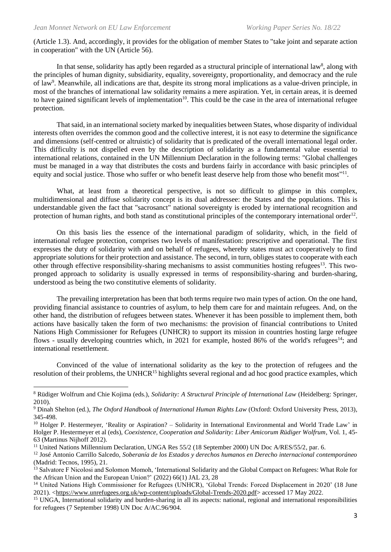(Article 1.3). And, accordingly, it provides for the obligation of member States to "take joint and separate action in cooperation" with the UN (Article 56).

In that sense, solidarity has aptly been regarded as a structural principle of international law<sup>8</sup>, along with the principles of human dignity, subsidiarity, equality, sovereignty, proportionality, and democracy and the rule of law<sup>9</sup>. Meanwhile, all indications are that, despite its strong moral implications as a value-driven principle, in most of the branches of international law solidarity remains a mere aspiration. Yet, in certain areas, it is deemed to have gained significant levels of implementation<sup>10</sup>. This could be the case in the area of international refugee protection.

That said, in an international society marked by inequalities between States, whose disparity of individual interests often overrides the common good and the collective interest, it is not easy to determine the significance and dimensions (self-centred or altruistic) of solidarity that is predicated of the overall international legal order. This difficulty is not dispelled even by the description of solidarity as a fundamental value essential to international relations, contained in the UN Millennium Declaration in the following terms: "Global challenges must be managed in a way that distributes the costs and burdens fairly in accordance with basic principles of equity and social justice. Those who suffer or who benefit least deserve help from those who benefit most"<sup>11</sup>.

What, at least from a theoretical perspective, is not so difficult to glimpse in this complex, multidimensional and diffuse solidarity concept is its dual addressee: the States and the populations. This is understandable given the fact that "sacrosanct" national sovereignty is eroded by international recognition and protection of human rights, and both stand as constitutional principles of the contemporary international order<sup>12</sup>.

On this basis lies the essence of the international paradigm of solidarity, which, in the field of international refugee protection, comprises two levels of manifestation: prescriptive and operational. The first expresses the duty of solidarity with and on behalf of refugees, whereby states must act cooperatively to find appropriate solutions for their protection and assistance. The second, in turn, obliges states to cooperate with each other through effective responsibility-sharing mechanisms to assist communities hosting refugees<sup>13</sup>. This twopronged approach to solidarity is usually expressed in terms of responsibility-sharing and burden-sharing, understood as being the two constitutive elements of solidarity.

The prevailing interpretation has been that both terms require two main types of action. On the one hand, providing financial assistance to countries of asylum, to help them care for and maintain refugees. And, on the other hand, the distribution of refugees between states. Whenever it has been possible to implement them, both actions have basically taken the form of two mechanisms: the provision of financial contributions to United Nations High Commissioner for Refugees (UNHCR) to support its mission in countries hosting large refugee flows - usually developing countries which, in 2021 for example, hosted 86% of the world's refugees<sup>14</sup>; and international resettlement.

Convinced of the value of international solidarity as the key to the protection of refugees and the resolution of their problems, the UNHCR<sup>15</sup> highlights several regional and ad hoc good practice examples, which

<sup>8</sup> Rüdiger Wolfrum and Chie Kojima (eds.), *Solidarity: A Structural Principle of International Law* (Heidelberg: Springer, 2010).

<sup>9</sup> Dinah Shelton (ed.), *The Oxford Handbook of International Human Rights Law* (Oxford: Oxford University Press, 2013), 345-498.

<sup>&</sup>lt;sup>10</sup> Holger P. Hestermeyer, 'Reality or Aspiration? – Solidarity in International Environmental and World Trade Law' in Holger P. Hestermeyer et al (eds), *Coexistence, Cooperation and Solidarity: Liber Amicorum Rüdiger Wolfrum*, Vol. 1, 45- 63 (Martinus Nijhoff 2012).

<sup>&</sup>lt;sup>11</sup> United Nations Millennium Declaration, UNGA Res 55/2 (18 September 2000) UN Doc A/RES/55/2, par. 6.

<sup>12</sup> José Antonio Carrillo Salcedo, *Soberanía de los Estados y derechos humanos en Derecho internacional contemporáneo* (Madrid: Tecnos, 1995), 21.

<sup>&</sup>lt;sup>13</sup> Salvatore F Nicolosi and Solomon Momoh, 'International Solidarity and the Global Compact on Refugees: What Role for the African Union and the European Union?' (2022) 66(1) JAL 23, 28

<sup>&</sup>lt;sup>14</sup> United Nations High Commissioner for Refugees (UNHCR), 'Global Trends: Forced Displacement in 2020' (18 June 2021). [<https://www.unrefugees.org.uk/wp-content/uploads/Global-Trends-2020.pdf>](https://www.unrefugees.org.uk/wp-content/uploads/Global-Trends-2020.pdf) accessed 17 May 2022.

<sup>&</sup>lt;sup>15</sup> UNGA, International solidarity and burden-sharing in all its aspects: national, regional and international responsibilities for refugees (7 September 1998) UN Doc A/AC.96/904.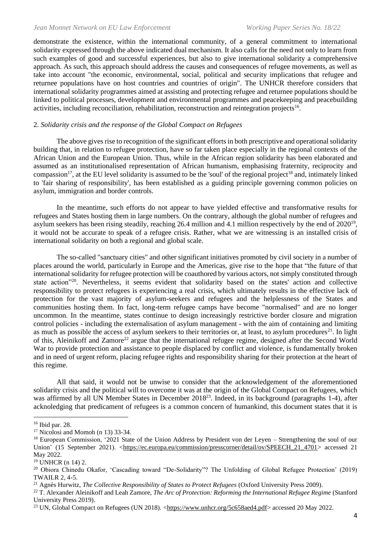demonstrate the existence, within the international community, of a general commitment to international solidarity expressed through the above indicated dual mechanism. It also calls for the need not only to learn from such examples of good and successful experiences, but also to give international solidarity a comprehensive approach. As such, this approach should address the causes and consequences of refugee movements, as well as take into account "the economic, environmental, social, political and security implications that refugee and returnee populations have on host countries and countries of origin". The UNHCR therefore considers that international solidarity programmes aimed at assisting and protecting refugee and returnee populations should be linked to political processes, development and environmental programmes and peacekeeping and peacebuilding activities, including reconciliation, rehabilitation, reconstruction and reintegration projects<sup>16</sup>.

# 2. *Solidarity crisis and the response of the Global Compact on Refugees*

The above gives rise to recognition of the significant efforts in both prescriptive and operational solidarity building that, in relation to refugee protection, have so far taken place especially in the regional contexts of the African Union and the European Union. Thus, while in the African region solidarity has been elaborated and assumed as an institutionalised representation of African humanism, emphasising fraternity, reciprocity and compassion<sup>17</sup>, at the EU level solidarity is assumed to be the 'soul' of the regional project<sup>18</sup> and, intimately linked to 'fair sharing of responsibility', has been established as a guiding principle governing common policies on asylum, immigration and border controls.

In the meantime, such efforts do not appear to have yielded effective and transformative results for refugees and States hosting them in large numbers. On the contrary, although the global number of refugees and asylum seekers has been rising steadily, reaching 26.4 million and 4.1 million respectively by the end of 2020<sup>19</sup>, it would not be accurate to speak of a refugee crisis. Rather, what we are witnessing is an installed crisis of international solidarity on both a regional and global scale.

The so-called "sanctuary cities" and other significant initiatives promoted by civil society in a number of places around the world, particularly in Europe and the Americas, give rise to the hope that "the future of that international solidarity for refugee protection will be coauthored by various actors, not simply constituted through state action"<sup>20</sup>. Nevertheless, it seems evident that solidarity based on the states' action and collective responsibility to protect refugees is experiencing a real crisis, which ultimately results in the effective lack of protection for the vast majority of asylum-seekers and refugees and the helplessness of the States and communities hosting them. In fact, long-term refugee camps have become "normalised" and are no longer uncommon. In the meantime, states continue to design increasingly restrictive border closure and migration control policies - including the externalisation of asylum management - with the aim of containing and limiting as much as possible the access of asylum seekers to their territories or, at least, to asylum procedures<sup>21</sup>. In light of this, Aleinikoff and Zamore<sup>22</sup> argue that the international refugee regime, designed after the Second World War to provide protection and assistance to people displaced by conflict and violence, is fundamentally broken and in need of urgent reform, placing refugee rights and responsibility sharing for their protection at the heart of this regime.

All that said, it would not be unwise to consider that the acknowledgement of the aforementioned solidarity crisis and the political will to overcome it was at the origin of the Global Compact on Refugees, which was affirmed by all UN Member States in December 2018<sup>23</sup>. Indeed, in its background (paragraphs 1-4), after acknoledging that predicament of refugees is a common concern of humankind, this document states that it is

<sup>16</sup> Ibid par. 28.

 $17$  Nicolosi and Momoh (n 13) 33-34.

<sup>&</sup>lt;sup>18</sup> European Commission, '2021 State of the Union Address by President von der Leyen – Strengthening the soul of our Union' (15 September 2021). [<https://ec.europa.eu/commission/presscorner/detail/ov/SPEECH\\_21\\_4701>](https://ec.europa.eu/commission/presscorner/detail/ov/SPEECH_21_4701) accessed 21 May 2022.

 $19$  UNHCR (n 14) 2.

<sup>20</sup> Obiora Chinedu Okafor, 'Cascading toward "De-Solidarity"? The Unfolding of Global Refugee Protection' (2019) TWAILR 2, 4-5.

<sup>21</sup> Agnès Hurwitz, *The Collective Responsibility of States to Protect Refugees* (Oxford University Press 2009).

<sup>22</sup> T. Alexander Aleinikoff and Leah Zamore, *The Arc of Protection: Reforming the International Refugee Regime* (Stanford University Press 2019).

<sup>&</sup>lt;sup>23</sup> UN, Global Compact on Refugees (UN 2018). [<https://www.unhcr.org/5c658aed4.pdf>](https://www.unhcr.org/5c658aed4.pdf) accessed 20 May 2022.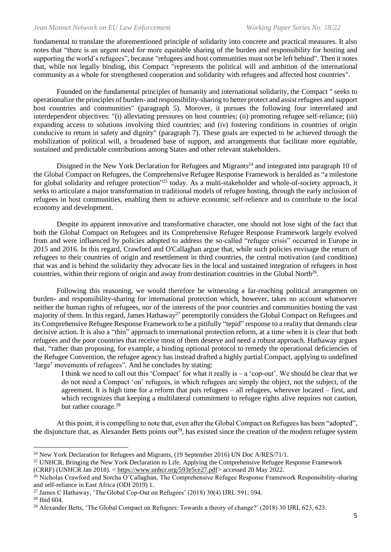#### *Jean Monnet Network on EU Law Enforcement* Working Paper Series No. 18/22

fundamental to translate the aforementioned principle of solidarity into concrete and practical measures. It also notes that "there is an urgent need for more equitable sharing of the burden and responsibility for hosting and supporting the world's refugees", because "refugees and host communities must not be left behind". Then it notes that, while not legally binding, this Compact "represents the political will and ambition of the international community as a whole for strengthened cooperation and solidarity with refugees and affected host countries".

Founded on the fundamental principles of humanity and international solidarity, the Compact " seeks to operationalize the principles of burden- and responsibility-sharing to better protect and assist refugees and support host countries and communities" (paragraph 5). Morover, it pursues the following four interrelated and interdependent objectives: "(i) alleviating pressures on host countries; (ii) promoting refugee self-reliance; (iii) expanding access to solutions involving third countries; and (iv) fostering conditions in countries of origin conducive to return in safety and dignity" (paragraph 7). These goals are expected to be achieved through the mobilization of political will, a broadened base of support, and arrangements that facilitate more equitable, sustained and predictable contributions among States and other relevant stakeholders.

Disigned in the New York Declaration for Refugees and Migrants<sup>24</sup> and integrated into paragraph 10 of the Global Compact on Refugees, the Comprehensive Refugee Response Framework is heralded as "a milestone for global solidarity and refugee protection"<sup>25</sup> today. As a multi-stakeholder and whole-of-society approach, it seeks to articulate a major transformation in traditional models of refugee hosting, through the early inclusion of refugees in host communities, enabling them to achieve economic self-relience and to contribute to the local economy and development.

Despite its apparent innovative and transformative character, one should not lose sight of the fact that both the Global Compact on Refugees and its Comprehensive Refugee Response Framework largely evolved from and were influenced by policies adopted to address the so-called "refugee crisis" occurred in Europe in 2015 and 2016. In this regard, Crawford and O'Callaghan argue that, while such policies envisage the return of refugees to their countries of origin and resettlement in third countries, the central motivation (and condition) that was and is behind the solidarity they advocate lies in the local and sustained integration of refugees in host countries, within their regions of origin and away from destination countries in the Global North<sup>26</sup>.

Following this reasoning, we would therefore be witnessing a far-reaching political arrangemen on burden- and responsibility-sharing for international protection which, however, takes no account whatsoever neither the human rights of refugees, nor of the interests of the poor countries and communities hosting the vast majority of them. In this regard, James Hathaway<sup>27</sup> peremptorily considers the Global Compact on Refugees and its Comprehensive Refugee Response Framework to be a pitifully "tepid" response to a reality that demands clear decisive action. It is also a "thin" approach to international protection reform, at a time when it is clear that both refugees and the poor countries that receive most of them deserve and need a robust approach. Hathaway argues that, "rather than proposing, for example, a binding optional protocol to remedy the operational deficiencies of the Refugee Convention, the refugee agency has instead drafted a highly partial Compact, applying to undefined 'large' movements of refugees". And he concludes by stating:

I think we need to call out this 'Compact' for what it really is  $-$  a 'cop-out'. We should be clear that we do not need a Compact 'on' refugees, in which refugees are simply the object, not the subject, of the agreement. It is high time for a reform that puts refugees – all refugees, wherever located – first, and which recognizes that keeping a multilateral commitment to refugee rights alive requires not caution, but rather courage.<sup>28</sup>

At this point, it is compelling to note that, even after the Global Compact on Refugees has been "adopted", the disjuncture that, as Alexander Betts points out<sup>29</sup>, has existed since the creation of the modern refugee system

<sup>&</sup>lt;sup>24</sup> New York Declaration for Refugees and Migrants, (19 September 2016) UN Doc  $A/RES/71/1$ .

<sup>&</sup>lt;sup>25</sup> UNHCR, Bringing the New York Declaration to Life. Applying the Comprehensive Refugee Response Framework (CRRF) (UNHCR Jan 2018). < [https://www.unhcr.org/593e5ce27.pdf>](https://www.unhcr.org/593e5ce27.pdf) accessed 20 May 2022.

<sup>&</sup>lt;sup>26</sup> Nicholas Crawford and Sorcha O'Callaghan, The Comprehensive Refugee Response Framework Responsibility-sharing and self-reliance in East Africa (ODI 2019) 1.

<sup>&</sup>lt;sup>27</sup> James C Hathaway, 'The Global Cop-Out on Refugees' (2018) 30(4) IJRL 591, 594.

<sup>28</sup> Ibid 604.

<sup>&</sup>lt;sup>29</sup> Alexander Betts, 'The Global Compact on Refugees: Towards a theory of change?' (2018) 30 IJRL 623, 623.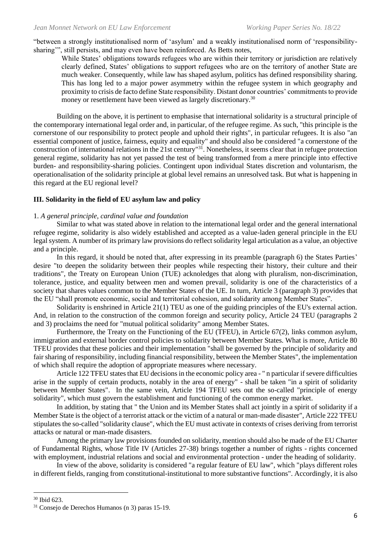"between a strongly institutionalised norm of 'asylum' and a weakly institutionalised norm of 'responsibilitysharing'", still persists, and may even have been reinforced. As Betts notes,

While States' obligations towards refugees who are within their territory or jurisdiction are relatively clearly defined, States' obligations to support refugees who are on the territory of another State are much weaker. Consequently, while law has shaped asylum, politics has defined responsibility sharing. This has long led to a major power asymmetry within the refugee system in which geography and proximity to crisis de facto define State responsibility. Distant donor countries' commitments to provide money or resettlement have been viewed as largely discretionary.<sup>30</sup>

Building on the above, it is pertinent to emphasise that international solidarity is a structural principle of the contemporary international legal order and, in particular, of the refugee regime. As such, "this principle is the cornerstone of our responsibility to protect people and uphold their rights", in particular refugees. It is also "an essential component of justice, fairness, equity and equality" and should also be considered "a cornerstone of the construction of international relations in the 21st century"<sup>31</sup>. Nonetheless, it seems clear that in refugee protection general regime, solidarity has not yet passed the test of being transformed from a mere principle into effective burden- and responsibility-sharing policies. Contingent upon individual States discretion and voluntarism, the operationalisation of the solidarity principle at global level remains an unresolved task. But what is happening in this regard at the EU regional level?

# **III. Solidarity in the field of EU asylum law and policy**

# 1. *A general principle, cardinal value and foundation*

Similar to what was stated above in relation to the international legal order and the general international refugee regime, solidarity is also widely established and accepted as a value-laden general principle in the EU legal system. A number of its primary law provisions do reflect solidarity legal articulation as a value, an objective and a principle.

In this regard, it should be noted that, after expressing in its preamble (paragraph 6) the States Parties' desire "to deepen the solidarity between their peoples while respecting their history, their culture and their traditions", the Treaty on European Union (TUE) acknoledges that along with pluralism, non-discrimination, tolerance, justice, and equality between men and women prevail, solidarity is one of the characteristics of a society that shares values common to the Member States of the UE. In turn, Article 3 (paragraph 3) provides that the EU "shall promote economic, social and territorial cohesion, and solidarity among Member States".

Solidarity is enshrined in Article 21(1) TEU as one of the guiding principles of the EU's external action. And, in relation to the construction of the common foreign and security policy, Article 24 TEU (paragraphs 2 and 3) proclaims the need for "mutual political solidarity" among Member States.

Furthermore, the Treaty on the Functioning of the EU (TFEU), in Article 67(2), links common asylum, immigration and external border control policies to solidarity between Member States. What is more, Article 80 TFEU provides that these policies and their implementation "shall be governed by the principle of solidarity and fair sharing of responsibility, including financial responsibility, between the Member States", the implementation of which shall require the adoption of appropriate measures where necessary.

Article 122 TFEU states that EU decisions in the economic policy area - " n particular if severe difficulties arise in the supply of certain products, notably in the area of energy" - shall be taken "in a spirit of solidarity between Member States". In the same vein, Article 194 TFEU sets out the so-called "principle of energy solidarity", which must govern the establishment and functioning of the common energy market.

In addition, by stating that " the Union and its Member States shall act jointly in a spirit of solidarity if a Member State is the object of a terrorist attack or the victim of a natural or man-made disaster", Article 222 TFEU stipulates the so-called "solidarity clause", which the EU must activate in contexts of crises deriving from terrorist attacks or natural or man-made disasters.

Among the primary law provisions founded on solidarity, mention should also be made of the EU Charter of Fundamental Rights, whose Title IV (Articles 27-38) brings together a number of rights - rights concerned with employment, industrial relations and social and environmental protection - under the heading of solidarity.

In view of the above, solidarity is considered "a regular feature of EU law", which "plays different roles in different fields, ranging from constitutional-institutional to more substantive functions". Accordingly, it is also

<sup>30</sup> Ibid 623.

<sup>31</sup> Consejo de Derechos Humanos (n 3) paras 15-19.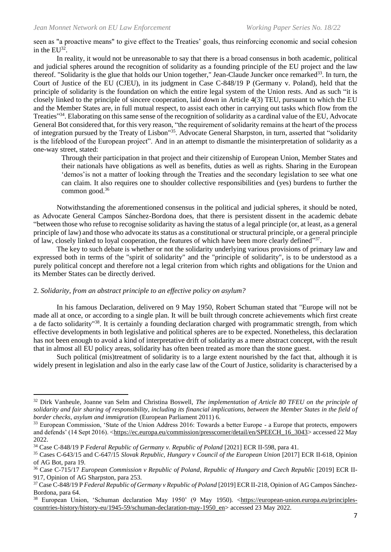seen as "a proactive means" to give effect to the Treaties' goals, thus reinforcing economic and social cohesion in the  $EU^{32}$ .

In reality, it would not be unreasonable to say that there is a broad consensus in both academic, political and judicial spheres around the recognition of solidarity as a founding principle of the EU project and the law thereof. "Solidarity is the glue that holds our Union together," Jean-Claude Juncker once remarked<sup>33</sup>. In turn, the Court of Justice of the EU (CJEU), in its judgment in Case C-848/19 P (Germany v. Poland), held that the principle of solidarity is the foundation on which the entire legal system of the Union rests. And as such "it is closely linked to the principle of sincere cooperation, laid down in Article 4(3) TEU, pursuant to which the EU and the Member States are, in full mutual respect, to assist each other in carrying out tasks which flow from the Treaties"<sup>34</sup>. Elaborating on this same sense of the recognition of solidarity as a cardinal value of the EU, Advocate General Bot considered that, for this very reason, "the requirement of solidarity remains at the heart of the process of integration pursued by the Treaty of Lisbon"<sup>35</sup>. Advocate General Sharpston, in turn, asserted that "solidarity is the lifeblood of the European project". And in an attempt to dismantle the misinterpretation of solidarity as a one-way street, stated:

Through their participation in that project and their citizenship of European Union, Member States and their nationals have obligations as well as benefits, duties as well as rights. Sharing in the European 'demos'is not a matter of looking through the Treaties and the secondary legislation to see what one can claim. It also requires one to shoulder collective responsibilities and (yes) burdens to further the common good.<sup>36</sup>

Notwithstanding the aforementioned consensus in the political and judicial spheres, it should be noted, as Advocate General Campos Sánchez-Bordona does, that there is persistent dissent in the academic debate "between those who refuse to recognise solidarity as having the status of a legal principle (or, at least, as a general principle of law) and those who advocate its status as a constitutional or structural principle, or a general principle of law, closely linked to loyal cooperation, the features of which have been more clearly defined"37.

The key to such debate is whether or not the solidarity underlying various provisions of primary law and expressed both in terms of the "spirit of solidarity" and the "principle of solidarity", is to be understood as a purely political concept and therefore not a legal criterion from which rights and obligations for the Union and its Member States can be directly derived.

# 2. *Solidarity, from an abstract principle to an effective policy on asylum?*

In his famous Declaration, delivered on 9 May 1950, Robert Schuman stated that "Europe will not be made all at once, or according to a single plan. It will be built through concrete achievements which first create a de facto solidarity"<sup>38</sup>. It is certainly a founding declaration charged with programmatic strength, from which effective developments in both legislative and political spheres are to be expected. Nonetheless, this declaration has not been enough to avoid a kind of interpretative drift of solidarity as a mere abstract concept, with the result that in almost all EU policy areas, solidarity has often been treated as more than the stone guest.

Such political (mis)treatment of solidarity is to a large extent nourished by the fact that, although it is widely present in legislation and also in the early case law of the Court of Justice, solidarity is characterised by a

<sup>32</sup> Dirk Vanheule, Joanne van Selm and Christina Boswell, *The implementation of Article 80 TFEU on the principle of solidarity and fair sharing of responsibility, including its financial implications, between the Member States in the field of border checks, asylum and immigration* (European Parliament 2011) 6.

<sup>&</sup>lt;sup>33</sup> European Commission, 'State of the Union Address 2016: Towards a better Europe - a Europe that protects, empowers and defends' (14 Sept 2016). [<https://ec.europa.eu/commission/presscorner/detail/en/SPEECH\\_16\\_3043>](https://ec.europa.eu/commission/presscorner/detail/en/SPEECH_16_3043) accessed 22 May 2022.

<sup>34</sup> Case C-848/19 P *Federal Republic of Germany v. Republic of Poland* [2021] ECR II-598, para 41.

<sup>35</sup> Cases C-643/15 and C-647/15 *Slovak Republic, Hungary v Council of the European Union* [2017] ECR II-618, Opinion of AG Bot, para 19.

<sup>36</sup> Case C-715/17 *European Commission v Republic of Poland, Republic of Hungary and Czech Republic* [2019] ECR II-917, Opinion of AG Sharpston, para 253.

<sup>37</sup> Case C-848/19 P *Federal Republic of Germany v Republic of Poland* [2019] ECR II-218, Opinion of AG Campos Sánchez-Bordona, para 64.

<sup>38</sup> European Union, 'Schuman declaration May 1950' (9 May 1950). [<https://european-union.europa.eu/principles](https://european-union.europa.eu/principles-countries-history/history-eu/1945-59/schuman-declaration-may-1950_en)[countries-history/history-eu/1945-59/schuman-declaration-may-1950\\_en>](https://european-union.europa.eu/principles-countries-history/history-eu/1945-59/schuman-declaration-may-1950_en) accessed 23 May 2022.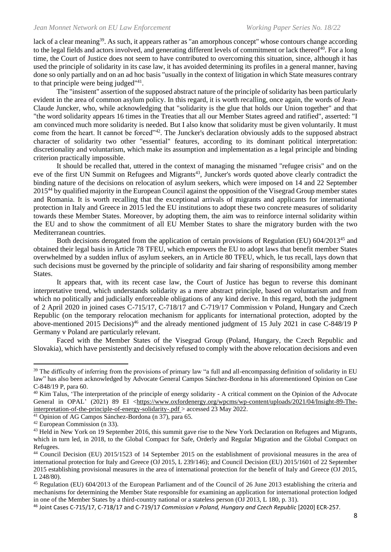lack of a clear meaning<sup>39</sup>. As such, it appears rather as "an amorphous concept" whose contours change according to the legal fields and actors involved, and generating different levels of commitment or lack thereof<sup>40</sup>. For a long time, the Court of Justice does not seem to have contributed to overcoming this situation, since, although it has used the principle of solidarity in its case law, it has avoided determining its profiles in a general manner, having done so only partially and on an ad hoc basis "usually in the context of litigation in which State measures contrary to that principle were being judged"<sup>41</sup>.

The "insistent" assertion of the supposed abstract nature of the principle of solidarity has been particularly evident in the area of common asylum policy. In this regard, it is worth recalling, once again, the words of Jean-Claude Juncker, who, while acknowledging that "solidarity is the glue that holds our Union together" and that "the word solidarity appears 16 times in the Treaties that all our Member States agreed and ratified", asserted: "I am convinced much more solidarity is needed. But I also know that solidarity must be given voluntarily. It must come from the heart. It cannot be forced"<sup>42</sup>. The Juncker's declaration obviously adds to the supposed abstract character of solidarity two other "essential" features, according to its dominant political interpretation: discretionality and voluntarism, which make its assumption and implementation as a legal principle and binding criterion practically impossible.

It should be recalled that, uttered in the context of managing the misnamed "refugee crisis" and on the eve of the first UN Summit on Refugees and Migrants<sup>43</sup>, Juncker's words quoted above clearly contradict the binding nature of the decisions on relocation of asylum seekers, which were imposed on 14 and 22 September 2015<sup>44</sup> by qualified majority in the European Council against the opposition of the Visegrad Group member states and Romania. It is worth recalling that the exceptional arrivals of migrants and applicants for international protection in Italy and Greece in 2015 led the EU institutions to adopt these two concrete measures of solidarity towards these Member States. Moreover, by adopting them, the aim was to reinforce internal solidarity within the EU and to show the commitment of all EU Member States to share the migratory burden with the two Mediterranean countries.

Both decisions derogated from the application of certain provisions of Regulation (EU) 604/2013<sup>45</sup> and obtained their legal basis in Article 78 TFEU, which empowers the EU to adopt laws that benefit member States overwhelmed by a sudden influx of asylum seekers, an in Article 80 TFEU, which, le tus recall, lays down that such decisions must be governed by the principle of solidarity and fair sharing of responsibility among member States.

It appears that, with its recent case law, the Court of Justice has begun to reverse this dominant interpretative trend, which understands solidarity as a mere abstract principle, based on voluntarism and from which no politically and judicially enforceable obligations of any kind derive. In this regard, both the judgment of 2 April 2020 in joined cases C-715/17, C-718/17 and C-719/17 Commission v Poland, Hungary and Czech Republic (on the temporary relocation mechanism for applicants for international protection, adopted by the above-mentioned 2015 Decisions)<sup>46</sup> and the already mentioned judgment of 15 July 2021 in case C-848/19 P Germany v Poland are particularly relevant.

Faced with the Member States of the Visegrad Group (Poland, Hungary, the Czech Republic and Slovakia), which have persistently and decisively refused to comply with the above relocation decisions and even

<sup>&</sup>lt;sup>39</sup> The difficulty of inferring from the provisions of primary law "a full and all-encompassing definition of solidarity in EU law" has also been acknowledged by Advocate General Campos Sánchez-Bordona in his aforementioned Opinion on Case C-848/19 P, para 60.

<sup>&</sup>lt;sup>40</sup> Kim Talus, 'The interpretation of the principle of energy solidarity - A critical comment on the Opinion of the Advocate General in OPAL' (2021) 89 EI [<https://www.oxfordenergy.org/wpcms/wp-content/uploads/2021/04/Insight-89-The](https://www.oxfordenergy.org/wpcms/wp-content/uploads/2021/04/Insight-89-The-interpretation-of-the-principle-of-energy-solidarity-.pdf)[interpretation-of-the-principle-of-energy-solidarity-.pdf >](https://www.oxfordenergy.org/wpcms/wp-content/uploads/2021/04/Insight-89-The-interpretation-of-the-principle-of-energy-solidarity-.pdf) accessed 23 May 2022.

<sup>41</sup> Opinion of AG Campos Sánchez-Bordona (n 37), para 65.

<sup>42</sup> European Commission (n 33).

<sup>&</sup>lt;sup>43</sup> Held in New York on 19 September 2016, this summit gave rise to the New York Declaration on Refugees and Migrants, which in turn led, in 2018, to the Global Compact for Safe, Orderly and Regular Migration and the Global Compact on Refugees.

<sup>44</sup> Council Decision (EU) 2015/1523 of 14 September 2015 on the establishment of provisional measures in the area of international protection for Italy and Greece (OJ 2015, L 239/146); and Council Decision (EU) 2015/1601 of 22 September 2015 establishing provisional measures in the area of international protection for the benefit of Italy and Greece (OJ 2015, L 248/80).

<sup>45</sup> Regulation (EU) 604/2013 of the European Parliament and of the Council of 26 June 2013 establishing the criteria and mechanisms for determining the Member State responsible for examining an application for international protection lodged in one of the Member States by a third-country national or a stateless person (OJ 2013, L 180, p. 31).

<sup>46</sup> Joint Cases C-715/17, C-718/17 and C-719/17 *Commission v Poland, Hungary and Czech Republic* [2020] ECR-257.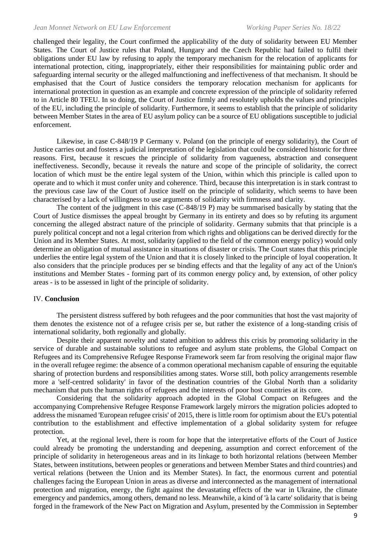challenged their legality, the Court confirmed the applicability of the duty of solidarity between EU Member States. The Court of Justice rules that Poland, Hungary and the Czech Republic had failed to fulfil their obligations under EU law by refusing to apply the temporary mechanism for the relocation of applicants for international protection, citing, inappropriately, either their responsibilities for maintaining public order and safeguarding internal security or the alleged malfunctioning and ineffectiveness of that mechanism. It should be emphasised that the Court of Justice considers the temporary relocation mechanism for applicants for international protection in question as an example and concrete expression of the principle of solidarity referred to in Article 80 TFEU. In so doing, the Court of Justice firmly and resolutely upholds the values and principles of the EU, including the principle of solidarity. Furthermore, it seems to establish that the principle of solidarity between Member States in the area of EU asylum policy can be a source of EU obligations susceptible to judicial enforcement.

Likewise, in case C-848/19 P Germany v. Poland (on the principle of energy solidarity), the Court of Justice carries out and fosters a judicial interpretation of the legislation that could be considered historic for three reasons. First, because it rescues the principle of solidarity from vagueness, abstraction and consequent ineffectiveness. Secondly, because it reveals the nature and scope of the principle of solidarity, the correct location of which must be the entire legal system of the Union, within which this principle is called upon to operate and to which it must confer unity and coherence. Third, because this interpretation is in stark contrast to the previous case law of the Court of Justice itself on the principle of solidarity, which seems to have been characterised by a lack of willingness to use arguments of solidarity with firmness and clarity.

The content of the judgment in this case (C-848/19 P) may be summarised basically by stating that the Court of Justice dismisses the appeal brought by Germany in its entirety and does so by refuting its argument concerning the alleged abstract nature of the principle of solidarity. Germany submits that that principle is a purely political concept and not a legal criterion from which rights and obligations can be derived directly for the Union and its Member States. At most, solidarity (applied to the field of the common energy policy) would only determine an obligation of mutual assistance in situations of disaster or crisis. The Court states that this principle underlies the entire legal system of the Union and that it is closely linked to the principle of loyal cooperation. It also considers that the principle produces per se binding effects and that the legality of any act of the Union's institutions and Member States - forming part of its common energy policy and, by extension, of other policy areas - is to be assessed in light of the principle of solidarity.

# IV. **Conclusion**

The persistent distress suffered by both refugees and the poor communities that host the vast majority of them denotes the existence not of a refugee crisis per se, but rather the existence of a long-standing crisis of international solidarity, both regionally and globally.

Despite their apparent novelty and stated ambition to address this crisis by promoting solidarity in the service of durable and sustainable solutions to refugee and asylum state problems, the Global Compact on Refugees and its Comprehensive Refugee Response Framework seem far from resolving the original major flaw in the overall refugee regime: the absence of a common operational mechanism capable of ensuring the equitable sharing of protection burdens and responsibilities among states. Worse still, both policy arrangements resemble more a 'self-centred solidarity' in favor of the destination countries of the Global North than a solidarity mechanism that puts the human rights of refugees and the interests of poor host countries at its core.

Considering that the solidarity approach adopted in the Global Compact on Refugees and the accompanying Comprehensive Refugee Response Framework largely mirrors the migration policies adopted to address the misnamed 'European refugee crisis' of 2015, there is little room for optimism about the EU's potential contribution to the establishment and effective implementation of a global solidarity system for refugee protection.

Yet, at the regional level, there is room for hope that the interpretative efforts of the Court of Justice could already be promoting the understanding and deepening, assumption and correct enforcement of the principle of solidarity in heterogeneous areas and in its linkage to both horizontal relations (between Member States, between institutions, between peoples or generations and between Member States and third countries) and vertical relations (between the Union and its Member States). In fact, the enormous current and potential challenges facing the European Union in areas as diverse and interconnected as the management of international protection and migration, energy, the fight against the devastating effects of the war in Ukraine, the climate emergency and pandemics, among others, demand no less. Meanwhile, a kind of 'à la carte' solidarity that is being forged in the framework of the New Pact on Migration and Asylum, presented by the Commission in September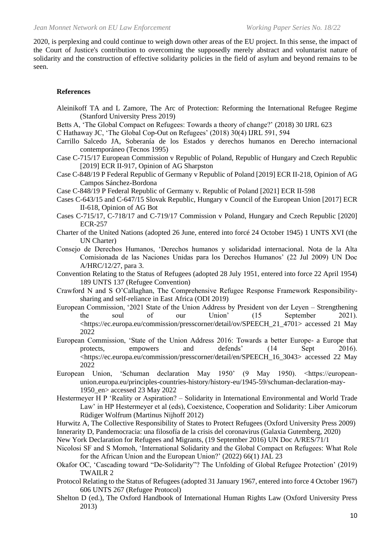2020, is perplexing and could continue to weigh down other areas of the EU project. In this sense, the impact of the Court of Justice's contribution to overcoming the supposedly merely abstract and voluntarist nature of solidarity and the construction of effective solidarity policies in the field of asylum and beyond remains to be seen.

# **References**

- Aleinikoff TA and L Zamore, The Arc of Protection: Reforming the International Refugee Regime (Stanford University Press 2019)
- Betts A, 'The Global Compact on Refugees: Towards a theory of change?' (2018) 30 IJRL 623

C Hathaway JC, 'The Global Cop-Out on Refugees' (2018) 30(4) IJRL 591, 594

Carrillo Salcedo JA, Soberanía de los Estados y derechos humanos en Derecho internacional contemporáneo (Tecnos 1995)

Case C-715/17 European Commission v Republic of Poland, Republic of Hungary and Czech Republic [2019] ECR II-917, Opinion of AG Sharpston

Case C-848/19 P Federal Republic of Germany v Republic of Poland [2019] ECR II-218, Opinion of AG Campos Sánchez-Bordona

Case C-848/19 P Federal Republic of Germany v. Republic of Poland [2021] ECR II-598

- Cases C-643/15 and C-647/15 Slovak Republic, Hungary v Council of the European Union [2017] ECR II-618, Opinion of AG Bot
- Cases C-715/17, C-718/17 and C-719/17 Commission v Poland, Hungary and Czech Republic [2020] ECR-257
- Charter of the United Nations (adopted 26 June, entered into forcé 24 October 1945) 1 UNTS XVI (the UN Charter)
- Consejo de Derechos Humanos, 'Derechos humanos y solidaridad internacional. Nota de la Alta Comisionada de las Naciones Unidas para los Derechos Humanos' (22 Jul 2009) UN Doc A/HRC/12/27, para 3.
- Convention Relating to the Status of Refugees (adopted 28 July 1951, entered into force 22 April 1954) 189 UNTS 137 (Refugee Convention)
- Crawford N and S O'Callaghan, The Comprehensive Refugee Response Framework Responsibilitysharing and self-reliance in East Africa (ODI 2019)
- European Commission, '2021 State of the Union Address by President von der Leyen Strengthening the soul of our Union' (15 September 2021). <https://ec.europa.eu/commission/presscorner/detail/ov/SPEECH\_21\_4701> accessed 21 May 2022
- European Commission, 'State of the Union Address 2016: Towards a better Europe- a Europe that protects, empowers and defends' (14 Sept 2016). <https://ec.europa.eu/commission/presscorner/detail/en/SPEECH\_16\_3043> accessed 22 May 2022
- European Union, 'Schuman declaration May 1950' (9 May 1950). <https://europeanunion.europa.eu/principles-countries-history/history-eu/1945-59/schuman-declaration-may-1950\_en> accessed 23 May 2022
- Hestermeyer H P 'Reality or Aspiration? Solidarity in International Environmental and World Trade Law' in HP Hestermeyer et al (eds), Coexistence, Cooperation and Solidarity: Liber Amicorum Rüdiger Wolfrum (Martinus Nijhoff 2012)
- Hurwitz A, The Collective Responsibility of States to Protect Refugees (Oxford University Press 2009)

Innerarity D, Pandemocracia: una filosofía de la crisis del coronavirus (Galaxia Gutemberg, 2020)

- New York Declaration for Refugees and Migrants, (19 September 2016) UN Doc A/RES/71/1
- Nicolosi SF and S Momoh, 'International Solidarity and the Global Compact on Refugees: What Role for the African Union and the European Union?' (2022) 66(1) JAL 23
- Okafor OC, 'Cascading toward "De-Solidarity"? The Unfolding of Global Refugee Protection' (2019) TWAILR 2
- Protocol Relating to the Status of Refugees (adopted 31 January 1967, entered into force 4 October 1967) 606 UNTS 267 (Refugee Protocol)
- Shelton D (ed.), The Oxford Handbook of International Human Rights Law (Oxford University Press 2013)